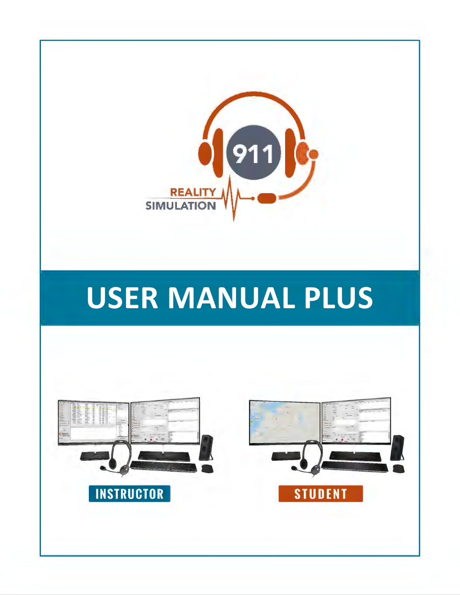

# **USER MANUAL PLUS**

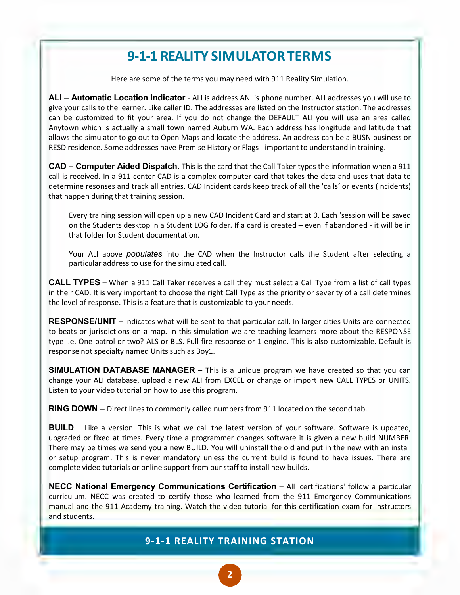### **9-1-1 REALITY SIMULATOR TERMS**

Here are some of the terms you may need with 911 Reality Simulation.

**ALI – Automatic Location Indicator** - ALI is address ANI is phone number. ALI addresses you will use to give your calls to the learner. Like caller ID. The addresses are listed on the Instructor station. The addresses can be customized to fit your area. If you do not change the DEFAULT ALI you will use an area called Anytown which is actually a small town named Auburn WA. Each address has longitude and latitude that allows the simulator to go out to Open Maps and locate the address. An address can be a BUSN business or RESD residence. Some addresses have Premise History or Flags - important to understand in training.

**CAD – Computer Aided Dispatch.** This is the card that the Call Taker types the information when a 911 call is received. In a 911 center CAD is a complex computer card that takes the data and uses that data to determine resonses and track all entries. CAD Incident cards keep track of all the 'calls' or events (incidents) that happen during that training session.

Every training session will open up a new CAD Incident Card and start at 0. Each 'session will be saved on the Students desktop in a Student LOG folder. If a card is created – even if abandoned - it will be in that folder for Student documentation.

Your ALI above *populates* into the CAD when the Instructor calls the Student after selecting a particular address to use for the simulated call.

**CALL TYPES** – When a 911 Call Taker receives a call they must select a Call Type from a list of call types in their CAD. It is very important to choose the right Call Type as the priority or severity of a call determines the level of response. This is a feature that is customizable to your needs.

**RESPONSE/UNIT** – Indicates what will be sent to that particular call. In larger cities Units are connected to beats or jurisdictions on a map. In this simulation we are teaching learners more about the RESPONSE type i.e. One patrol or two? ALS or BLS. Full fire response or 1 engine. This is also customizable. Default is response not specialty named Units such as Boy1.

**SIMULATION DATABASE MANAGER** – This is a unique program we have created so that you can change your ALI database, upload a new ALI from EXCEL or change or import new CALL TYPES or UNITS. Listen to your video tutorial on how to use this program.

**RING DOWN** *–* Direct lines to commonly called numbers from 911 located on the second tab.

**BUILD** – Like a version. This is what we call the latest version of your software. Software is updated, upgraded or fixed at times. Every time a programmer changes software it is given a new build NUMBER. There may be times we send you a new BUILD. You will uninstall the old and put in the new with an install or setup program. This is never mandatory unless the current build is found to have issues. There are complete video tutorials or online support from our staff to install new builds.

**NECC National Emergency Communications Certification** – All 'certifications' follow a particular curriculum. NECC was created to certify those who learned from the 911 Emergency Communications manual and the 911 Academy training. Watch the video tutorial for this certification exam for instructors and students.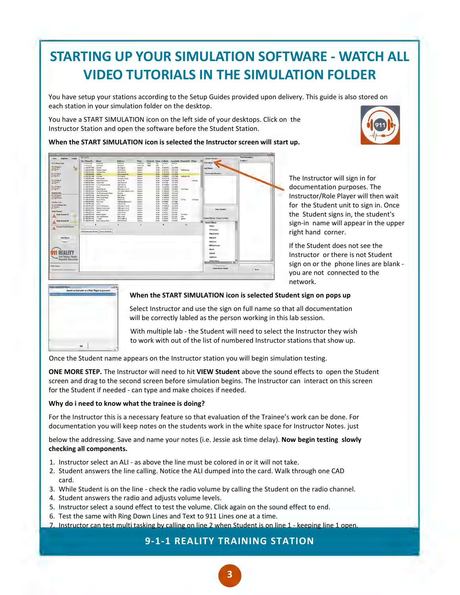## **STARTING UP YOUR SIMULATION SOFTWARE - WATCH ALL VIDEO TUTORIALS IN THE SIMULATION FOLDER**

You have setup your stations according to the Setup Guides provided upon delivery. This guide is also stored on each station in your simulation folder on the desktop.

You have a START SIMULATION icon on the left side of your desktops. Click on the Instructor Station and open the software before the Student Station.







The Instructor will sign in for documentation purposes. The Instructor/Role Player will then wait for the Student unit to sign in. Once the Student signs in, the student's sign-in name will appear in the upper right hand corner.

If the Student does not see the Instructor or there is not Student sign on or the phone lines are blank you are not connected to the network.



#### **When the START SIMULATION icon is selected Student sign on pops up**

Select Instructor and use the sign on full name so that all documentation will be correctly labled as the person working in this lab session.

With multiple lab - the Student will need to select the Instructor they wish to work with out of the list of numbered Instructor stations that show up.

Once the Student name appears on the Instructor station you will begin simulation testing.

**ONE MORE STEP.** The Instructor will need to hit **VIEW Student** above the sound effects to open the Student screen and drag to the second screen before simulation begins. The Instructor can interact on this screen for the Student if needed - can type and make choices if needed.

#### **Why do i need to know what the trainee is doing?**

For the Instructor this is a necessary feature so that evaluation of the Trainee's work can be done. For documentation you will keep notes on the students work in the white space for Instructor Notes. just

below the addressing. Save and name your notes (i.e. Jessie ask time delay). **Now begin testing slowly checking all components.**

- 1. Instructor select an ALI as above the line must be colored in or it will not take.
- 2. Student answers the line calling. Notice the ALI dumped into the card. Walk through one CAD card.
- 3. While Student is on the line check the radio volume by calling the Student on the radio channel.
- 4. Student answers the radio and adjusts volume levels.
- 5. Instructor select a sound effect to test the volume. Click again on the sound effect to end.
- 6. Test the same with Ring Down Lines and Text to 911 Lines one at a time.
- 7. Instructor can test multi tasking by calling on line 2 when Student is on line 1 keeping line 1 open.

#### **9-1-1 REALITY TRAINING STATION**

**3**  •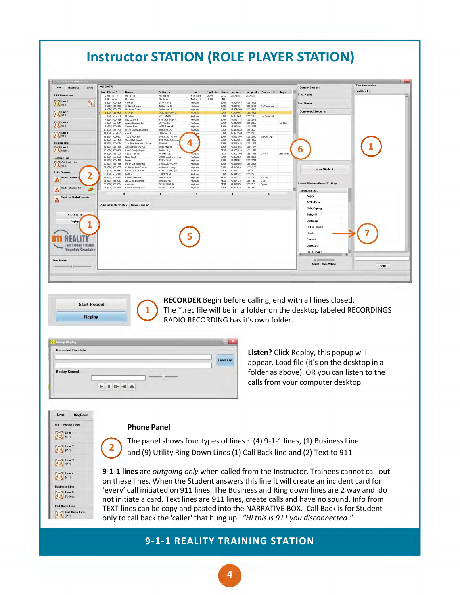

![](_page_3_Picture_1.jpeg)

**RECORDER** Begin before calling, end with all lines closed. The \*.rec file will be in a folder on the desktop labeled RECORDINGS RADIO RECORDING has it's own folder.

| <b>Recorded Data File</b> |                  |
|---------------------------|------------------|
|                           |                  |
|                           | <b>Load File</b> |
| <b>Replay Control</b>     |                  |

**1** 

**Listen?** Click Replay, this popup will appear. Load file (it's on the desktop in a folder as above). OR you can listen to the calls from your computer desktop.

#### **Phone Panel**

**2** 

 $\bigodot$ 

![](_page_3_Figure_6.jpeg)

The panel shows four types of lines : (4) 9-1-1 lines, (1) Business Line and (9) Utility Ring Down Lines (1) Call Back line and (2) Text to 911

**9-1-1 lines** are *outgoing only* when called from the Instructor. Trainees cannot call out on these lines. When the Student answers this line it will create an incident card for 'every' call initiated on 911 lines. The Business and Ring down lines are 2 way and do not initiate a card. Text lines are 911 lines, create calls and have no sound. Info from TEXT lines can be copy and pasted into the NARRATIVE BOX. Call Back is for Student only to call back the 'caller' that hung up. *"Hi this is 911 you disconnected."*

#### **9-1-1 REALITY TRAINING STATION**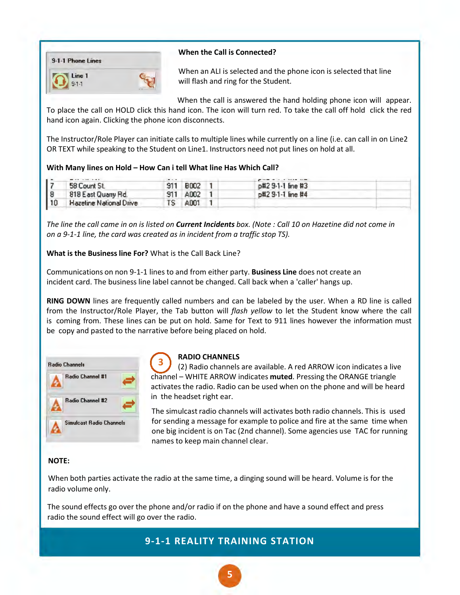![](_page_4_Picture_0.jpeg)

#### **When the Call is Connected?**

When an ALI is selected and the phone icon is selected that line will flash and ring for the Student.

When the call is answered the hand holding phone icon will appear. To place the call on HOLD click this hand icon. The icon will turn red. To take the call off hold click the red hand icon again. Clicking the phone icon disconnects.

The Instructor/Role Player can initiate calls to multiple lines while currently on a line (i.e. can call in on Line2 OR TEXT while speaking to the Student on Line1. Instructors need not put lines on hold at all.

|    |                                | $\qquad \qquad \blacksquare \qquad \blacksquare$ |             |                   |  |
|----|--------------------------------|--------------------------------------------------|-------------|-------------------|--|
| ١ż | 58 Count St.                   |                                                  | <b>B002</b> | p#2 9-1-1 line #3 |  |
| 8  | 818 East Quarry Rd.            | 911                                              | A002        | p#2 9-1-1 line #4 |  |
| 10 | <b>Hazeline National Drive</b> | TS                                               | A001        |                   |  |

*The line the call came in on is listed on Current Incidents box. (Note : Call 10 on Hazetine did not come in on a 9-1-1 line, the card was created as in incident from a traffic stop TS).*

**What is the Businessline For?** What is the Call Back Line?

Communications on non 9-1-1 lines to and from either party. **Business Line** does not create an incident card. The business line label cannot be changed. Call back when a 'caller' hangs up.

**RING DOWN** lines are frequently called numbers and can be labeled by the user. When a RD line is called from the Instructor/Role Player, the Tab button will *flash yellow* to let the Student know where the call is coming from. These lines can be put on hold. Same for Text to 911 lines however the information must be copy and pasted to the narrative before being placed on hold.

![](_page_4_Picture_11.jpeg)

#### **RADIO CHANNELS**

(2) Radio channels are available. A red ARROW icon indicates a live **CHANNELS**<br>
(2) Radio channels are available. A red ARROW icon indicates a liv<br>
channel – WHITE ARROW indicates **muted**. Pressing the ORANGE triangle activates the radio. Radio can be used when on the phone and will be heard in the headset right ear. **3** 

The simulcast radio channels will activates both radio channels. This is used for sending a message for example to police and fire at the same time when one big incident is on Tac (2nd channel). Some agencies use TAC for running names to keep main channel clear.

#### **NOTE:**

When both parties activate the radio at the same time, a dinging sound will be heard. Volume is for the radio volume only.

The sound effects go over the phone and/or radio if on the phone and have a sound effect and press radio the sound effect will go over the radio.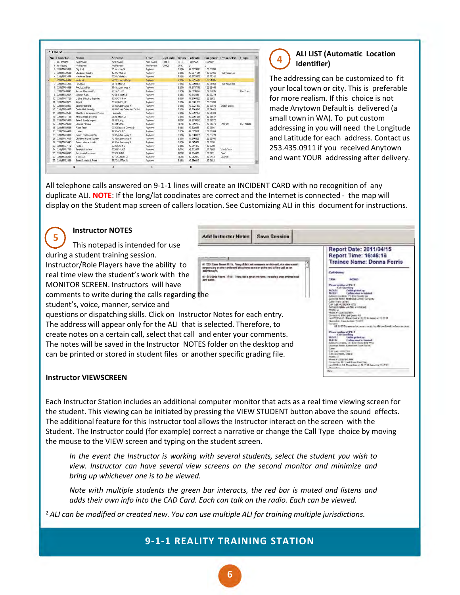| <b>ALI DATA</b>   |                             |                              |           |         |              |            |              |                     |                   |   |
|-------------------|-----------------------------|------------------------------|-----------|---------|--------------|------------|--------------|---------------------|-------------------|---|
| No. PhoneNo       | Name                        | <b>Address</b>               | Town      | ZioCode | <b>Class</b> | Latitude   |              | Longitude PremiseHX | <b>Flags</b>      | 医 |
| 0 No Records      | No Record                   | No Record                    | No Record | 00003   | CELL         | Unknown    | Unknown      |                     |                   |   |
| 1 No Record       | No Record                   | No Record                    | No Record | annon   | <b>UNK</b>   | n          | n            |                     |                   |   |
| 2 (328) 555-1856  | City Hall                   | 25 W Man St                  | Anytown   |         | BUSN         | 47.3074973 | $-12223058$  |                     |                   |   |
| 3 (328) 555-9588  | <b>Childrens Theatre</b>    | 122 W Mail St                | Anytown   |         | <b>BUSN</b>  | 47.3071611 | $-12223156$  | PavPhone Lbv        |                   |   |
| 4 (328) 555-2856  | Hardware Store              | 308 W Main St                | Anvioven  |         | <b>BUSN</b>  | 47.3074339 | $-12223342$  |                     |                   |   |
| 5 (328) 555-0466  | Wallfart.                   | 762 Supermall Way            | Anviousn  |         | <b>BLISN</b> | 47.3015846 | $-12224085$  |                     |                   |   |
| 6 (328) 555-1286  | Hi School                   | 711 F Mail St                | Anytown   |         | <b>BIJSN</b> | 47.3098491 | -122 21960   | PayPhone Hall       |                   |   |
| 7 (328) 555-4486  | Red Lotus Bar               | 714 Auburn Way N             | Anviovan  |         | BUSN         | 47.3137118 | $-122.22446$ |                     |                   |   |
| 8 (328) 555-8841  | Ampac Chemical Co.          | 701 A St NE                  | Anvtoven  |         | BUSN         | 47.3136827 | -122 22835   |                     | Haz Chem          |   |
| 9 (328) 555-3664  | Veteran Park                | 405 E. Street NE             | Anvtoyin  |         | <b>BUSN</b>  | 47.313496  | $-12222279$  |                     |                   |   |
| 10 (328) 555-7720 | U Line Shipping Supplies    | 1005 C.St NW                 | Anviovin  |         | BUSN         | 47.3166650 | $-122252$    |                     |                   |   |
| 11 (328) 555-3521 | Airport                     | 506 23rd St NE               | Anvtoven  |         | <b>BUSN</b>  | 47.3281560 | -122 22659   |                     |                   |   |
| 12 (328) 555-9957 | Sports Page Bar             | 2802 Aubum Way N             | Anvtown   |         | <b>BUSN</b>  | 47.3321990 | -122 22075   | Watch Burgs         |                   |   |
| 13 (328) 555-4405 | <b>Outlet Mall Security</b> | 1101 Dutlet Collection Dr SW | Anvtoyin  |         | <b>BUSN</b>  | 47.3009345 | $-122.24463$ |                     |                   |   |
| 14 (328) 555-3544 | The River Emergency Phone   | <b>Riverside</b>             | Anvtown   |         | BUSN         | 47.3397436 | -122.21424   |                     |                   |   |
| 15 (328) 555-1188 | Athens Pizza and Pub.       | 959 E Main St                | Anvtown   |         | <b>BUSN</b>  | 47.3081855 | $-122.21647$ |                     |                   |   |
| 16 (328) 555-3400 | Pete & Sandy Meyers         | 2606 Spring                  | Anvtown   |         | RESD         | 47.3095240 | $-122.21572$ |                     |                   |   |
| 17 (328) 555-5688 | Szavior Persma              | 404 M St SE                  | Anvtown   |         | <b>RESD</b>  | 47.3097392 | $-12221415$  | DV Prior            | <b>DicThreats</b> |   |
| 18 (328) 555-9589 | <b>Race Track</b>           | 2300 Emerald Downs Dr.       | Anytown   |         | BUSN         | 47.329859  | $-122.23861$ |                     |                   |   |
| 19 (328) 555-4488 | Lowes                       | 1232 A St NE                 | Anytown   |         | <b>BUSN</b>  | 47.319561  | $-122.22784$ |                     |                   |   |
| 20 [328] 555-1886 | Doxon Car Dealership        | 3405 Auburn Way N            | Anytown   |         | <b>BUSN</b>  | 47.3380035 | $-12222278$  |                     |                   |   |
| 21 (328) 555-3665 | Childrens Home Society      | 4338 Auburn Wav N            | Anytown   |         | <b>BUSN</b>  | 47.346029  | $-12222106$  |                     |                   |   |
| 22 (328) 555-3443 | Sound Mental Health         | 4238 Aubum War N             | Anviown   |         | BUSN         | 47.345477  | $-1222216$   |                     |                   |   |
| 23 (328) 555-7112 | Fed Fx.                     | 3702 C.St NF                 | Anytown   |         | <b>BUSN</b>  | 47.341377  | $-122.2250$  |                     |                   |   |
| 24 13281 555-1789 | <b>Brodrick Leplace</b>     | 3001 K St NE                 | Anytown   |         | RESD         | 47.333977  | -122 2165    | Vac Watch           |                   |   |
| 25 (328) 555-0093 | Jim & Julia Bohansen        | 3005   St NE                 | Anviovan  |         | RESD         | 47.334472  | $-122.2191$  | Deal                |                   |   |
| 26 (328) 555-0234 | J. Jaison                   | 5010 S 288th St.             | Anytown   |         | <b>RESO</b>  | 47.342976  | $-1222713$   | Spanish             |                   |   |
| 27 (328) 555-2489 | Berret Chemical, Plant 1    | 6870 S 277th St              | Anvioven  |         | BUSN         | 47.350013  | -122 2493    |                     |                   |   |
|                   | н                           | $\blacktriangleleft$         |           |         |              | н          |              | ъ                   |                   |   |

#### **ALI LIST (Automatic Location Identifier)**  4

**4** 

The addressing can be customized to fit your local town or city. This is preferable for more realism. If this choice is not made Anytown Default is delivered (a small town in WA). To put custom addressing in you will need the Longitude and Latitude for each address. Contact us 253.435.0911 if you received Anytown and want YOUR addressing after delivery.

All telephone calls answered on 9-1-1 lines will create an INCIDENT CARD with no recognition of any duplicate ALI. **NOTE**: If the long/lat coodinates are correct and the Internet is connected - the map will display on the Student map screen of callers location. See Customizing ALI in this document for instructions.

#### **Instructor NOTES**

**5** 

Add Instructor Notes | Save Session

during a student training session. Instructor/Role Players have the ability to real time view the student's work with the MONITOR SCREEN. Instructors will have comments to write during the calls regarding the  $\bigodot$ 

This notepad is intended for use

student's, voice, manner, service and questions or dispatching skills. Click on Instructor Notes for each entry. The address will appear only for the ALI that is selected. Therefore, to create notes on a certain call, select that call and enter your comments. The notes will be saved in the Instructor NOTES folder on the desktop and can be printed or stored in student files or another specific grading file.

![](_page_5_Picture_8.jpeg)

#### **Instructor VIEWSCREEN**

Each Instructor Station includes an additional computer monitor that acts as a real time viewing screen for the student. This viewing can be initiated by pressing the VIEW STUDENT button above the sound effects. The additional feature for this Instructor tool allows the Instructor interact on the screen with the Student. The Instructor could (for example) correct a narrative or change the Call Type choice by moving the mouse to the VIEW screen and typing on the student screen.

*In the event the Instructor is working with several students, select the student you wish to view. Instructor can have several view screens on the second monitor and minimize and bring up whichever one is to be viewed.*

*Note with multiple students the green bar interacts, the red bar is muted and listens and adds their own info into the CAD Card. Each can talk on the radio. Each can be viewed.*

<sup>2</sup>*ALI can be modified or created new. You can use multiple ALI for training multiple jurisdictions.*

### **9-1-1 REALITY TRAINING STATION**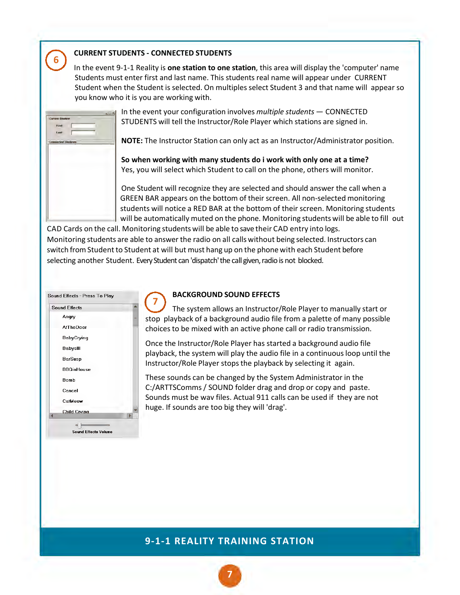#### **CURRENT STUDENTS - CONNECTED STUDENTS**

In the event 9-1-1 Reality is **one station to one station**, this area will display the 'computer' name Students must enter first and last name. This students real name will appear under CURRENT Student when the Student is selected. On multiples select Student 3 and that name will appear so you know who it is you are working with.

| <b>Current Student</b>    |  | كاسلم |
|---------------------------|--|-------|
|                           |  |       |
| <b>Euro</b>               |  |       |
| Land:                     |  |       |
|                           |  |       |
| <b>Cooperiod Students</b> |  |       |
|                           |  |       |
|                           |  |       |
|                           |  |       |
|                           |  |       |
|                           |  |       |
|                           |  |       |
|                           |  |       |
|                           |  |       |
|                           |  |       |
|                           |  |       |
|                           |  |       |
|                           |  |       |
|                           |  |       |

**6** 

0

In the event your configuration involves *multiple students* — CONNECTED STUDENTS will tell the Instructor/Role Player which stations are signed in.

**NOTE:** The Instructor Station can only act as an Instructor/Administrator position.

**So when working with many students do i work with only one at a time?** Yes, you will select which Student to call on the phone, others will monitor.

One Student will recognize they are selected and should answer the call when a GREEN BAR appears on the bottom of their screen. All non-selected monitoring students will notice a RED BAR at the bottom of their screen. Monitoring students will be automatically muted on the phone. Monitoring students will be able to fill out

CAD Cards on the call. Monitoring studentswill be able to save their CAD entry into logs. Monitoring students are able to answer the radio on all calls without being selected. Instructors can switch from Student to Student at will but must hang up on the phone with each Student before selecting another Student. Every Student can 'dispatch' the call given, radio is not blocked.

![](_page_6_Picture_8.jpeg)

#### **BACKGROUND SOUND EFFECTS**

The system allows an Instructor/Role Player to manually start or stop playback of a background audio file from a palette of many possible choices to be mixed with an active phone call or radio transmission. **7** 

Once the Instructor/Role Player has started a background audio file playback, the system will play the audio file in a continuous loop until the Instructor/Role Player stops the playback by selecting it again.

These sounds can be changed by the System Administrator in the C:/ARTTSComms / SOUND folder drag and drop or copy and paste. Sounds must be wav files. Actual 911 calls can be used if they are not huge. If sounds are too big they will 'drag'.

![](_page_6_Picture_14.jpeg)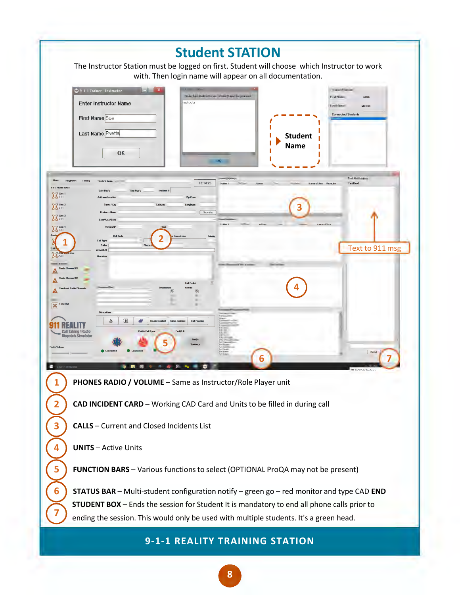![](_page_7_Picture_0.jpeg)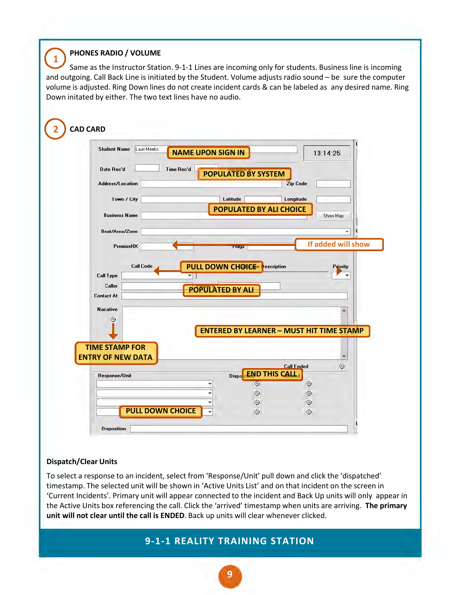#### **PHONES RADIO / VOLUME**

Same as the Instructor Station. 9-1-1 Lines are incoming only for students. Business line is incoming and outgoing. Call Back Line is initiated by the Student. Volume adjusts radio sound – be sure the computer volume is adjusted. Ring Down lines do not create incident cards & can be labeled as any desired name. Ring Down initated by either. The two text lines have no audio. **1**  <sup>(1)</sup>

| Lauri Meeks<br><b>Student Name</b> | <b>NAME UPON SIGN IN</b>                        | 13:14:25                        |                    |
|------------------------------------|-------------------------------------------------|---------------------------------|--------------------|
| Date Rec'd                         | Time Rec'd                                      |                                 |                    |
|                                    | <b>POPULATED BY SYSTEM</b>                      |                                 |                    |
| <b>Address/Location</b>            |                                                 | <b>Zip Code</b>                 |                    |
| Town / City                        | Latitude                                        | Longitude                       |                    |
|                                    | <b>POPULATED BY ALI CHOICE</b>                  |                                 |                    |
| <b>Business Name</b>               |                                                 | Show Map                        |                    |
| Beat/Area/Zone                     |                                                 |                                 | t<br>▼             |
| PremiseHX                          | riays                                           |                                 | If added will show |
|                                    |                                                 |                                 |                    |
|                                    |                                                 |                                 | <b>Priority</b>    |
| <b>Call Code</b>                   | escription                                      |                                 |                    |
| Call Type                          | PULL DOWN CHOICE <sup>e</sup><br>▼∣             |                                 | ▼                  |
| Caller                             |                                                 |                                 |                    |
| <b>Contact At</b>                  | <b>POPULATED BY ALI</b>                         |                                 |                    |
| Narrative                          |                                                 |                                 |                    |
| $\odot$                            |                                                 |                                 |                    |
|                                    |                                                 |                                 |                    |
|                                    | <b>ENTERED BY LEARNER - MUST HIT TIME STAMP</b> |                                 |                    |
| <b>TIME STAMP FOR</b>              |                                                 |                                 |                    |
| <b>ENTRY OF NEW DATA</b>           |                                                 |                                 |                    |
|                                    |                                                 | <b>Call Ended</b>               | $\odot$            |
| Response/Unit                      | <b>END THIS CALL</b><br>Dispa<br>▼              |                                 |                    |
|                                    | Θ<br>▼                                          | $\odot$                         |                    |
|                                    | $\overline{\odot}$<br>$\overline{\odot}$<br>÷   | $\frac{\mathbb{Q}}{\mathbb{Q}}$ |                    |

#### **Dispatch/Clear Units**

To select a response to an incident, select from 'Response/Unit' pull down and click the 'dispatched' timestamp. The selected unit will be shown in 'Active Units List' and on that incident on the screen in 'Current Incidents'. Primary unit will appear connected to the incident and Back Up units will only appear in the Active Units box referencing the call. Click the 'arrived' timestamp when units are arriving. **The primary unit will not clear until the call is ENDED**. Back up units will clear whenever clicked.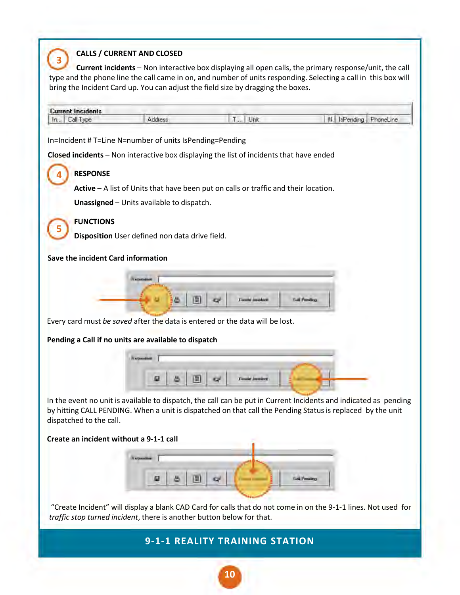#### **CALLS / CURRENT AND CLOSED**

**Current incidents** – Non interactive box displaying all open calls, the primary response/unit, the call type and the phone line the call came in on, and number of units responding. Selecting a call in this box will bring the Incident Card up. You can adjust the field size by dragging the boxes. **3**  0

![](_page_9_Picture_2.jpeg)

by hitting CALL PENDING. When a unit is dispatched on that call the Pending Status is replaced by the unit dispatched to the call.

#### **Create an incident without a 9-1-1 call**

|  |  |  | المستناب |
|--|--|--|----------|

"Create Incident" will display a blank CAD Card for calls that do not come in on the 9-1-1 lines. Not used for *traffic stop turned incident*, there is another button below for that.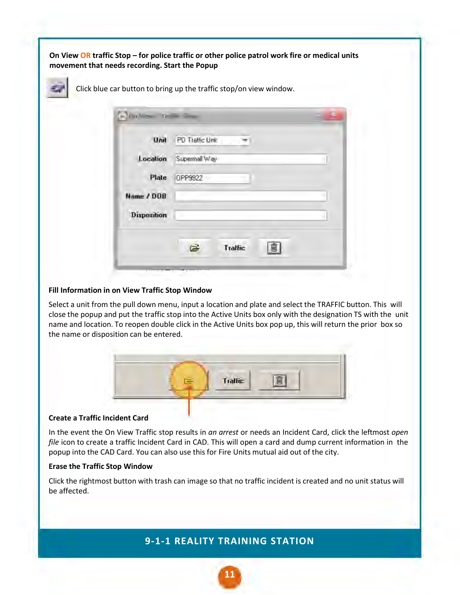**On View OR traffic Stop – for police traffic or other police patrol work fire or medical units movement that needs recording. Start the Popup**

![](_page_10_Picture_1.jpeg)

Click blue car button to bring up the traffic stop/on view window.

|                    | Unit PD Traffic Unit |  |
|--------------------|----------------------|--|
| Location           | Supermall Way        |  |
| Plate              | OPP9922              |  |
| Name / DOB         |                      |  |
| <b>Disposition</b> |                      |  |
|                    | <b>Traffic</b>       |  |

#### **Fill Information in on View Traffic Stop Window**

Select a unit from the pull down menu, input a location and plate and select the TRAFFIC button. This will close the popup and put the traffic stop into the Active Units box only with the designation TS with the unit name and location. To reopen double click in the Active Units box pop up, this will return the prior box so the name or disposition can be entered.

![](_page_10_Picture_6.jpeg)

#### **Create a Traffic Incident Card**

In the event the On View Traffic stop results in *an arrest* or needs an Incident Card, click the leftmost *open file* icon to create a traffic Incident Card in CAD. This will open a card and dump current information in the popup into the CAD Card. You can also use this for Fire Units mutual aid out of the city.

#### **Erase the Traffic Stop Window**

Click the rightmost button with trash can image so that no traffic incident is created and no unit status will be affected.

#### **9-1-1 REALITY TRAINING STATION**

**11**

•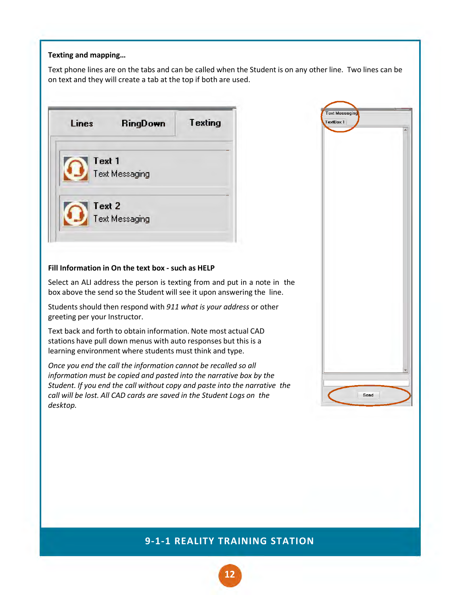#### **Texting and mapping…**

Text phone lines are on the tabs and can be called when the Student is on any other line. Two lines can be on text and they will create a tab at the top if both are used.

![](_page_11_Picture_2.jpeg)

#### **Fill Information in On the text box - such as HELP**

Select an ALI address the person is texting from and put in a note in the box above the send so the Student will see it upon answering the line.

Students should then respond with *911 what is your address* or other greeting per your Instructor.

Text back and forth to obtain information. Note most actual CAD stations have pull down menus with auto responses but this is a learning environment where students must think and type.

*Once you end the call the information cannot be recalled so all information must be copied and pasted into the narrative box by the Student. If you end the call without copy and paste into the narrative the call will be lost. All CAD cards are saved in the Student Logs on the desktop.* 

![](_page_11_Picture_8.jpeg)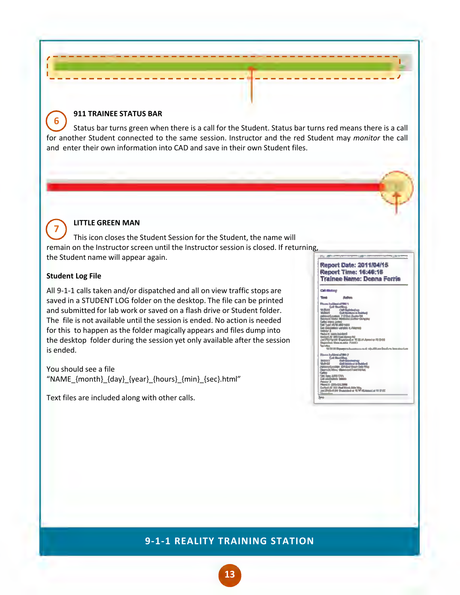#### **911 TRAINEE STATUS BAR**

Status bar turns green when there is a call for the Student. Status bar turns red means there is a call for another Student connected to the same session. Instructor and the red Student may *monitor* the call and enter their own information into CAD and save in their own Student files. 0

~-------~-----------------------~------------------,,

![](_page_12_Picture_2.jpeg)

**6** 

#### **LITTLE GREEN MAN**

This icon closes the Student Session for the Student, the name will remain on the Instructor screen until the Instructor session is closed. If returning, the Student name will appear again. 0

#### **Student Log File**

All 9-1-1 calls taken and/or dispatched and all on view traffic stops are saved in a STUDENT LOG folder on the desktop. The file can be printed and submitted for lab work or saved on a flash drive or Student folder. The file is not available until the session is ended. No action is needed for this to happen as the folder magically appears and files dump into the desktop folder during the session yet only available after the session is ended.

You should see a file "NAME\_{month}\_{day}\_{year}\_{hours}\_{min}\_{sec}.html"

Text files are included along with other calls.

![](_page_12_Picture_9.jpeg)

,-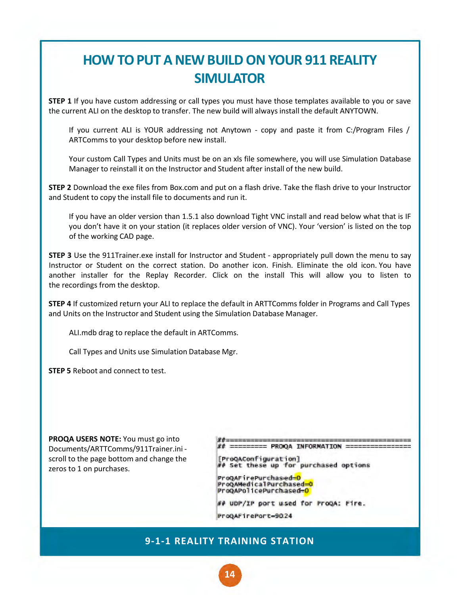### **HOW TO PUT A NEW BUILD ON YOUR 911 REALITY SIMULATOR**

**STEP 1** If you have custom addressing or call types you must have those templates available to you or save the current ALI on the desktop to transfer. The new build will always install the default ANYTOWN.

If you current ALI is YOUR addressing not Anytown - copy and paste it from C:/Program Files / ARTComms to your desktop before new install.

Your custom Call Types and Units must be on an xls file somewhere, you will use Simulation Database Manager to reinstall it on the Instructor and Student after install of the new build.

**STEP 2** Download the exe files from Box.com and put on a flash drive. Take the flash drive to your Instructor and Student to copy the install file to documents and run it.

If you have an older version than 1.5.1 also download Tight VNC install and read below what that is IF you don't have it on your station (it replaces older version of VNC). Your 'version' is listed on the top of the working CAD page.

**STEP 3** Use the 911Trainer.exe install for Instructor and Student - appropriately pull down the menu to say Instructor or Student on the correct station. Do another icon. Finish. Eliminate the old icon. You have another installer for the Replay Recorder. Click on the install This will allow you to listen to the recordings from the desktop.

**STEP 4** If customized return your ALI to replace the default in ARTTComms folder in Programs and Call Types and Units on the Instructor and Student using the Simulation Database Manager.

ALI.mdb drag to replace the default in ARTComms.

Call Types and Units use Simulation Database Mgr.

**STEP 5** Reboot and connect to test.

**PROQA USERS NOTE:** You must go into Documents/ARTTComms/911Trainer.ini scroll to the page bottom and change the zeros to 1 on purchases.

 $===$  PROQA INFORMATION =

[ProQAConfiguration] *Il Set these up for purchased options* 

ProQAFirePurchased=O ProQAMedicalPurchased=0 ProQAPolicePurchased=0

*II* uDP/IP port used for ProQA: Pire.

ProgaFirePort=9024

### **9-1-1 REALITY TRAINING STATION**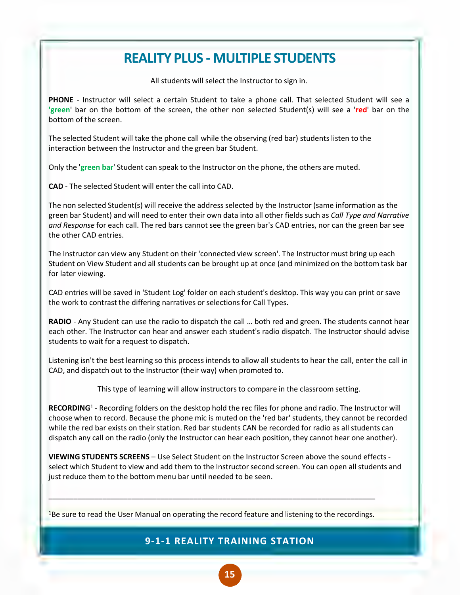### **REALITY PLUS - MULTIPLE STUDENTS**

All students will select the Instructor to sign in.

**PHONE** - Instructor will select a certain Student to take a phone call. That selected Student will see a **'green**' bar on the bottom of the screen, the other non selected Student(s) will see a '**red**' bar on the bottom of the screen.

The selected Student will take the phone call while the observing (red bar) students listen to the interaction between the Instructor and the green bar Student.

Only the '**green bar**' Student can speak to the Instructor on the phone, the others are muted.

**CAD** - The selected Student will enter the call into CAD.

The non selected Student(s) will receive the address selected by the Instructor (same information as the green bar Student) and will need to enter their own data into all other fields such as *Call Type and Narrative and Response* for each call. The red bars cannot see the green bar's CAD entries, nor can the green bar see the other CAD entries.

The Instructor can view any Student on their 'connected view screen'. The Instructor must bring up each Student on View Student and all students can be brought up at once (and minimized on the bottom task bar for later viewing.

CAD entries will be saved in 'Student Log' folder on each student's desktop. This way you can print or save the work to contrast the differing narratives or selections for Call Types.

**RADIO** - Any Student can use the radio to dispatch the call ... both red and green. The students cannot hear each other. The Instructor can hear and answer each student's radio dispatch. The Instructor should advise students to wait for a request to dispatch.

Listening isn't the best learning so this process intends to allow all students to hear the call, enter the call in CAD, and dispatch out to the Instructor (their way) when promoted to.

This type of learning will allow instructors to compare in the classroom setting.

RECORDING<sup>1</sup> - Recording folders on the desktop hold the rec files for phone and radio. The Instructor will choose when to record. Because the phone mic is muted on the 'red bar' students, they cannot be recorded while the red bar exists on their station. Red bar students CAN be recorded for radio as all students can dispatch any call on the radio (only the Instructor can hear each position, they cannot hear one another).

**VIEWING STUDENTS SCREENS** – Use Select Student on the Instructor Screen above the sound effects select which Student to view and add them to the Instructor second screen. You can open all students and just reduce them to the bottom menu bar until needed to be seen.

<sup>1</sup>Be sure to read the User Manual on operating the record feature and listening to the recordings.

\_\_\_\_\_\_\_\_\_\_\_\_\_\_\_\_\_\_\_\_\_\_\_\_\_\_\_\_\_\_\_\_\_\_\_\_\_\_\_\_\_\_\_\_\_\_\_\_\_\_\_\_\_\_\_\_\_\_\_\_\_\_\_\_\_\_\_\_\_\_\_\_\_\_\_\_\_\_\_

#### **9-1-1 REALITY TRAINING STATION**